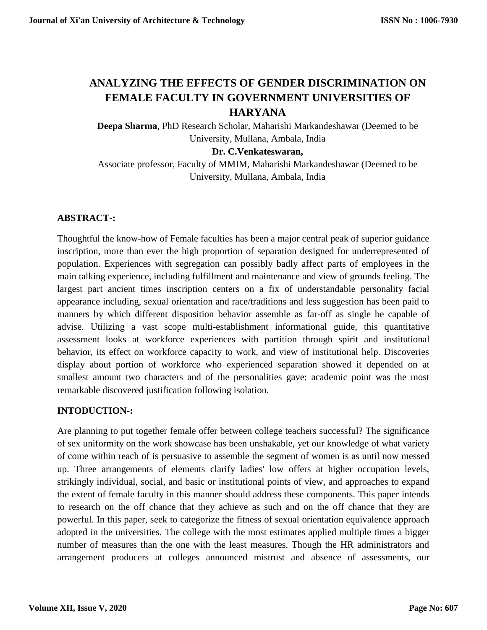# **ANALYZING THE EFFECTS OF GENDER DISCRIMINATION ON FEMALE FACULTY IN GOVERNMENT UNIVERSITIES OF HARYANA**

**Deepa Sharma**, PhD Research Scholar, Maharishi Markandeshawar (Deemed to be University, Mullana, Ambala, India

#### **Dr. C.Venkateswaran,**

Associate professor, Faculty of MMIM, Maharishi Markandeshawar (Deemed to be University, Mullana, Ambala, India

# **ABSTRACT-:**

Thoughtful the know-how of Female faculties has been a major central peak of superior guidance inscription, more than ever the high proportion of separation designed for underrepresented of population. Experiences with segregation can possibly badly affect parts of employees in the main talking experience, including fulfillment and maintenance and view of grounds feeling. The largest part ancient times inscription centers on a fix of understandable personality facial appearance including, sexual orientation and race/traditions and less suggestion has been paid to manners by which different disposition behavior assemble as far-off as single be capable of advise. Utilizing a vast scope multi-establishment informational guide, this quantitative assessment looks at workforce experiences with partition through spirit and institutional behavior, its effect on workforce capacity to work, and view of institutional help. Discoveries display about portion of workforce who experienced separation showed it depended on at smallest amount two characters and of the personalities gave; academic point was the most remarkable discovered justification following isolation.

# **INTODUCTION-:**

Are planning to put together female offer between college teachers successful? The significance of sex uniformity on the work showcase has been unshakable, yet our knowledge of what variety of come within reach of is persuasive to assemble the segment of women is as until now messed up. Three arrangements of elements clarify ladies' low offers at higher occupation levels, strikingly individual, social, and basic or institutional points of view, and approaches to expand the extent of female faculty in this manner should address these components. This paper intends to research on the off chance that they achieve as such and on the off chance that they are powerful. In this paper, seek to categorize the fitness of sexual orientation equivalence approach adopted in the universities. The college with the most estimates applied multiple times a bigger number of measures than the one with the least measures. Though the HR administrators and arrangement producers at colleges announced mistrust and absence of assessments, our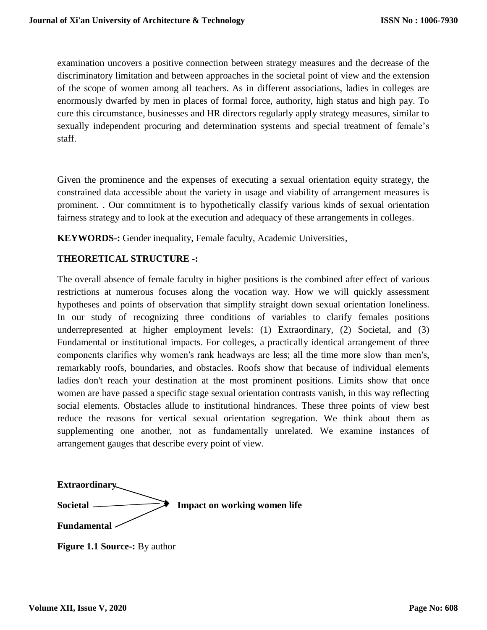examination uncovers a positive connection between strategy measures and the decrease of the discriminatory limitation and between approaches in the societal point of view and the extension of the scope of women among all teachers. As in different associations, ladies in colleges are enormously dwarfed by men in places of formal force, authority, high status and high pay. To cure this circumstance, businesses and HR directors regularly apply strategy measures, similar to sexually independent procuring and determination systems and special treatment of female's staff.

Given the prominence and the expenses of executing a sexual orientation equity strategy, the constrained data accessible about the variety in usage and viability of arrangement measures is prominent. . Our commitment is to hypothetically classify various kinds of sexual orientation fairness strategy and to look at the execution and adequacy of these arrangements in colleges.

**KEYWORDS-:** Gender inequality, Female faculty, Academic Universities,

# **THEORETICAL STRUCTURE -:**

The overall absence of female faculty in higher positions is the combined after effect of various restrictions at numerous focuses along the vocation way. How we will quickly assessment hypotheses and points of observation that simplify straight down sexual orientation loneliness. In our study of recognizing three conditions of variables to clarify females positions underrepresented at higher employment levels: (1) Extraordinary, (2) Societal, and (3) Fundamental or institutional impacts. For colleges, a practically identical arrangement of three components clarifies why women′s rank headways are less; all the time more slow than men′s, remarkably roofs, boundaries, and obstacles. Roofs show that because of individual elements ladies don't reach your destination at the most prominent positions. Limits show that once women are have passed a specific stage sexual orientation contrasts vanish, in this way reflecting social elements. Obstacles allude to institutional hindrances. These three points of view best reduce the reasons for vertical sexual orientation segregation. We think about them as supplementing one another, not as fundamentally unrelated. We examine instances of arrangement gauges that describe every point of view.

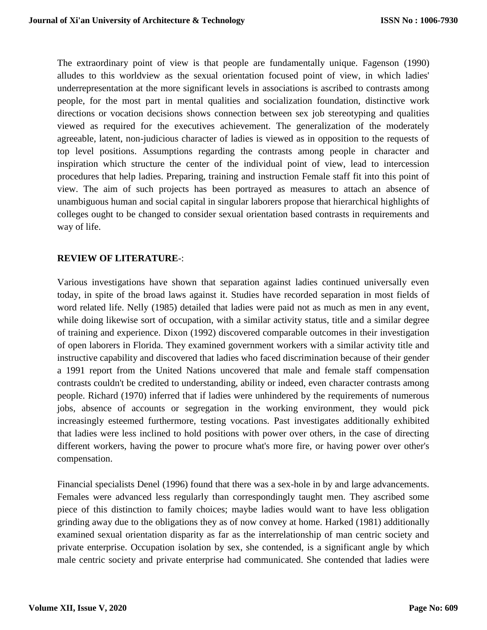The extraordinary point of view is that people are fundamentally unique. Fagenson (1990) alludes to this worldview as the sexual orientation focused point of view, in which ladies' underrepresentation at the more significant levels in associations is ascribed to contrasts among people, for the most part in mental qualities and socialization foundation, distinctive work directions or vocation decisions shows connection between sex job stereotyping and qualities viewed as required for the executives achievement. The generalization of the moderately agreeable, latent, non-judicious character of ladies is viewed as in opposition to the requests of top level positions. Assumptions regarding the contrasts among people in character and inspiration which structure the center of the individual point of view, lead to intercession procedures that help ladies. Preparing, training and instruction Female staff fit into this point of view. The aim of such projects has been portrayed as measures to attach an absence of unambiguous human and social capital in singular laborers propose that hierarchical highlights of colleges ought to be changed to consider sexual orientation based contrasts in requirements and way of life.

## **REVIEW OF LITERATURE**-:

Various investigations have shown that separation against ladies continued universally even today, in spite of the broad laws against it. Studies have recorded separation in most fields of word related life. Nelly (1985) detailed that ladies were paid not as much as men in any event, while doing likewise sort of occupation, with a similar activity status, title and a similar degree of training and experience. Dixon (1992) discovered comparable outcomes in their investigation of open laborers in Florida. They examined government workers with a similar activity title and instructive capability and discovered that ladies who faced discrimination because of their gender a 1991 report from the United Nations uncovered that male and female staff compensation contrasts couldn't be credited to understanding, ability or indeed, even character contrasts among people. Richard (1970) inferred that if ladies were unhindered by the requirements of numerous jobs, absence of accounts or segregation in the working environment, they would pick increasingly esteemed furthermore, testing vocations. Past investigates additionally exhibited that ladies were less inclined to hold positions with power over others, in the case of directing different workers, having the power to procure what's more fire, or having power over other's compensation.

Financial specialists Denel (1996) found that there was a sex-hole in by and large advancements. Females were advanced less regularly than correspondingly taught men. They ascribed some piece of this distinction to family choices; maybe ladies would want to have less obligation grinding away due to the obligations they as of now convey at home. Harked (1981) additionally examined sexual orientation disparity as far as the interrelationship of man centric society and private enterprise. Occupation isolation by sex, she contended, is a significant angle by which male centric society and private enterprise had communicated. She contended that ladies were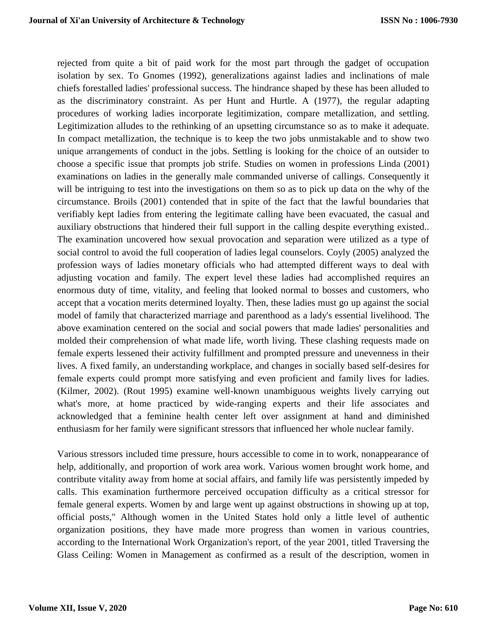rejected from quite a bit of paid work for the most part through the gadget of occupation isolation by sex. To Gnomes (1992), generalizations against ladies and inclinations of male chiefs forestalled ladies' professional success. The hindrance shaped by these has been alluded to as the discriminatory constraint. As per Hunt and Hurtle. A (1977), the regular adapting procedures of working ladies incorporate legitimization, compare metallization, and settling. Legitimization alludes to the rethinking of an upsetting circumstance so as to make it adequate. In compact metallization, the technique is to keep the two jobs unmistakable and to show two unique arrangements of conduct in the jobs. Settling is looking for the choice of an outsider to choose a specific issue that prompts job strife. Studies on women in professions Linda (2001) examinations on ladies in the generally male commanded universe of callings. Consequently it will be intriguing to test into the investigations on them so as to pick up data on the why of the circumstance. Broils (2001) contended that in spite of the fact that the lawful boundaries that verifiably kept ladies from entering the legitimate calling have been evacuated, the casual and auxiliary obstructions that hindered their full support in the calling despite everything existed.. The examination uncovered how sexual provocation and separation were utilized as a type of social control to avoid the full cooperation of ladies legal counselors. Coyly (2005) analyzed the profession ways of ladies monetary officials who had attempted different ways to deal with adjusting vocation and family. The expert level these ladies had accomplished requires an enormous duty of time, vitality, and feeling that looked normal to bosses and customers, who accept that a vocation merits determined loyalty. Then, these ladies must go up against the social model of family that characterized marriage and parenthood as a lady's essential livelihood. The above examination centered on the social and social powers that made ladies' personalities and molded their comprehension of what made life, worth living. These clashing requests made on female experts lessened their activity fulfillment and prompted pressure and unevenness in their lives. A fixed family, an understanding workplace, and changes in socially based self-desires for female experts could prompt more satisfying and even proficient and family lives for ladies. (Kilmer, 2002). (Rout 1995) examine well-known unambiguous weights lively carrying out what's more, at home practiced by wide-ranging experts and their life associates and acknowledged that a feminine health center left over assignment at hand and diminished enthusiasm for her family were significant stressors that influenced her whole nuclear family.

Various stressors included time pressure, hours accessible to come in to work, nonappearance of help, additionally, and proportion of work area work. Various women brought work home, and contribute vitality away from home at social affairs, and family life was persistently impeded by calls. This examination furthermore perceived occupation difficulty as a critical stressor for female general experts. Women by and large went up against obstructions in showing up at top, official posts," Although women in the United States hold only a little level of authentic organization positions, they have made more progress than women in various countries, according to the International Work Organization's report, of the year 2001, titled Traversing the Glass Ceiling: Women in Management as confirmed as a result of the description, women in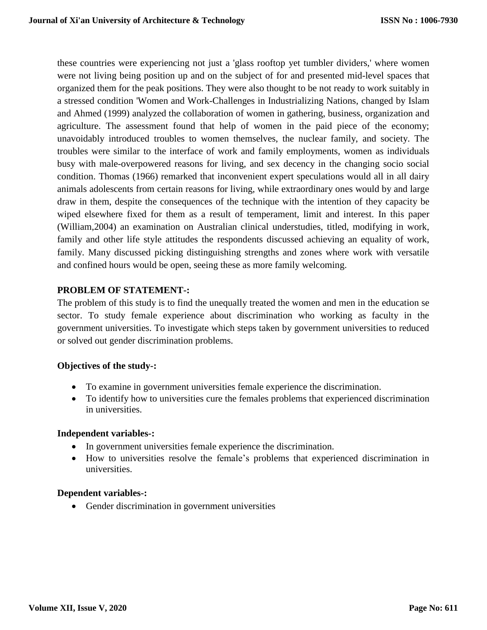these countries were experiencing not just a 'glass rooftop yet tumbler dividers,' where women were not living being position up and on the subject of for and presented mid-level spaces that organized them for the peak positions. They were also thought to be not ready to work suitably in a stressed condition 'Women and Work-Challenges in Industrializing Nations, changed by Islam and Ahmed (1999) analyzed the collaboration of women in gathering, business, organization and agriculture. The assessment found that help of women in the paid piece of the economy; unavoidably introduced troubles to women themselves, the nuclear family, and society. The troubles were similar to the interface of work and family employments, women as individuals busy with male-overpowered reasons for living, and sex decency in the changing socio social condition. Thomas (1966) remarked that inconvenient expert speculations would all in all dairy animals adolescents from certain reasons for living, while extraordinary ones would by and large draw in them, despite the consequences of the technique with the intention of they capacity be wiped elsewhere fixed for them as a result of temperament, limit and interest. In this paper (William,2004) an examination on Australian clinical understudies, titled, modifying in work, family and other life style attitudes the respondents discussed achieving an equality of work, family. Many discussed picking distinguishing strengths and zones where work with versatile and confined hours would be open, seeing these as more family welcoming.

# **PROBLEM OF STATEMENT-:**

The problem of this study is to find the unequally treated the women and men in the education se sector. To study female experience about discrimination who working as faculty in the government universities. To investigate which steps taken by government universities to reduced or solved out gender discrimination problems.

#### **Objectives of the study-:**

- To examine in government universities female experience the discrimination.
- To identify how to universities cure the females problems that experienced discrimination in universities.

#### **Independent variables-:**

- In government universities female experience the discrimination.
- How to universities resolve the female's problems that experienced discrimination in universities.

#### **Dependent variables-:**

• Gender discrimination in government universities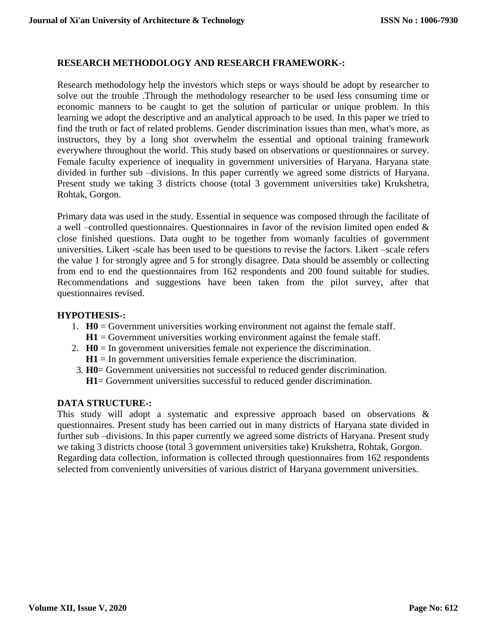## **RESEARCH METHODOLOGY AND RESEARCH FRAMEWORK-:**

Research methodology help the investors which steps or ways should be adopt by researcher to solve out the trouble .Through the methodology researcher to be used less consuming time or economic manners to be caught to get the solution of particular or unique problem. In this learning we adopt the descriptive and an analytical approach to be used. In this paper we tried to find the truth or fact of related problems. Gender discrimination issues than men, what's more, as instructors, they by a long shot overwhelm the essential and optional training framework everywhere throughout the world. This study based on observations or questionnaires or survey. Female faculty experience of inequality in government universities of Haryana. Haryana state divided in further sub –divisions. In this paper currently we agreed some districts of Haryana. Present study we taking 3 districts choose (total 3 government universities take) Krukshetra, Rohtak, Gorgon.

Primary data was used in the study. Essential in sequence was composed through the facilitate of a well –controlled questionnaires. Questionnaires in favor of the revision limited open ended & close finished questions. Data ought to be together from womanly faculties of government universities. Likert -scale has been used to be questions to revise the factors. Likert –scale refers the value 1 for strongly agree and 5 for strongly disagree. Data should be assembly or collecting from end to end the questionnaires from 162 respondents and 200 found suitable for studies. Recommendations and suggestions have been taken from the pilot survey, after that questionnaires revised.

#### **HYPOTHESIS-:**

- 1. **H0** = Government universities working environment not against the female staff.  $H1 =$  Government universities working environment against the female staff.
- 2. **H0** = In government universities female not experience the discrimination.
	- $H1 = In$  government universities female experience the discrimination.
- 3. **H0**= Government universities not successful to reduced gender discrimination.  **H1**= Government universities successful to reduced gender discrimination.

#### **DATA STRUCTURE-:**

This study will adopt a systematic and expressive approach based on observations & questionnaires. Present study has been carried out in many districts of Haryana state divided in further sub –divisions. In this paper currently we agreed some districts of Haryana. Present study we taking 3 districts choose (total 3 government universities take) Krukshetra, Rohtak, Gorgon. Regarding data collection, information is collected through questionnaires from 162 respondents selected from conveniently universities of various district of Haryana government universities.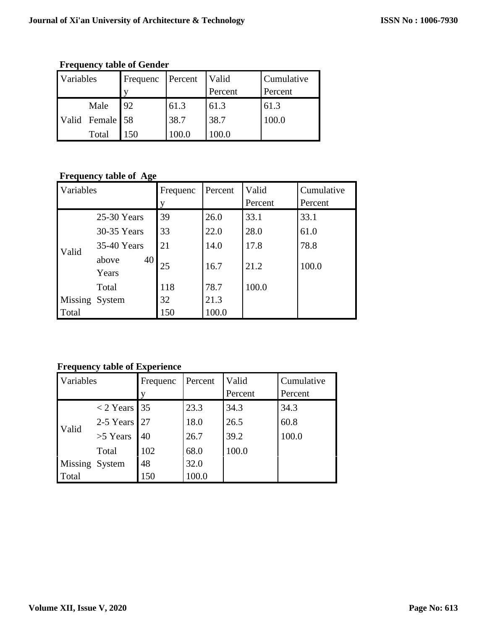| Variables |                 | Frequenc | Percent | Valid<br>Percent | Cumulative<br>Percent |
|-----------|-----------------|----------|---------|------------------|-----------------------|
|           | Male            | 92       | 61.3    | 61.3             | 61.3                  |
|           | Valid Female 58 |          | 38.7    | 38.7             | 100.0                 |
|           | Total           | 50       |         |                  |                       |

**Frequency table of Gender** 

# **Frequency table of Age**

| Variables      |                      | Frequenc<br>V | Percent | Valid<br>Percent | Cumulative<br>Percent |
|----------------|----------------------|---------------|---------|------------------|-----------------------|
|                | 25-30 Years          | 39            | 26.0    | 33.1             | 33.1                  |
|                | 30-35 Years          | 33            | 22.0    | 28.0             | 61.0                  |
| Valid          | 35-40 Years          | 21            | 14.0    | 17.8             | 78.8                  |
|                | 40<br>above<br>Years | 25            | 16.7    | 21.2             | 100.0                 |
|                | Total                | 118           | 78.7    | 100.0            |                       |
| Missing System |                      | 32            | 21.3    |                  |                       |
| Total          |                      | 150           | 100.0   |                  |                       |

**Frequency table of Experience**

| Variables      |                | Frequenc | Percent | Valid   | Cumulative |
|----------------|----------------|----------|---------|---------|------------|
|                |                |          |         | Percent | Percent    |
|                | $<$ 2 Years 35 |          | 23.3    | 34.3    | 34.3       |
| Valid          | 2-5 Years      | 27       | 18.0    | 26.5    | 60.8       |
|                | >5 Years       | 40       | 26.7    | 39.2    | 100.0      |
|                | Total          | 102      | 68.0    | 100.0   |            |
| Missing System |                | 48       | 32.0    |         |            |
| Total          |                | 150      | 100.0   |         |            |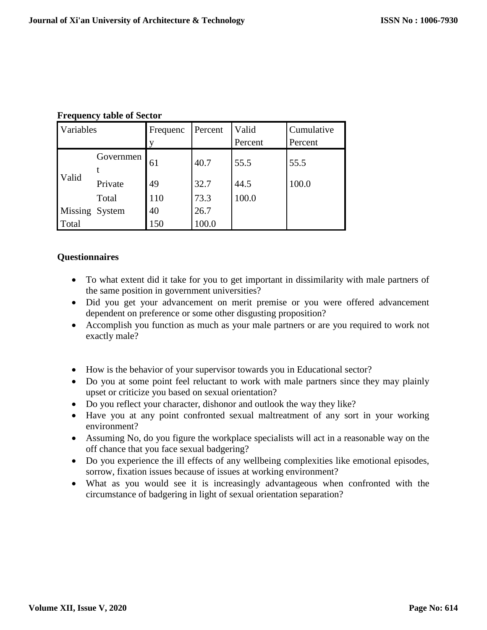| Variables      |           | Frequenc | Percent | Valid   | Cumulative |
|----------------|-----------|----------|---------|---------|------------|
|                |           | V        |         | Percent | Percent    |
|                | Governmen | 61       | 40.7    | 55.5    | 55.5       |
| Valid          |           |          |         |         |            |
|                | Private   | 49       | 32.7    | 44.5    | 100.0      |
|                | Total     | 110      | 73.3    | 100.0   |            |
| Missing System |           | 40       | 26.7    |         |            |
| Total          |           | 150      | 100.0   |         |            |

#### **Frequency table of Sector**

## **Questionnaires**

- To what extent did it take for you to get important in dissimilarity with male partners of the same position in government universities?
- Did you get your advancement on merit premise or you were offered advancement dependent on preference or some other disgusting proposition?
- Accomplish you function as much as your male partners or are you required to work not exactly male?
- How is the behavior of your supervisor towards you in Educational sector?
- Do you at some point feel reluctant to work with male partners since they may plainly upset or criticize you based on sexual orientation?
- Do you reflect your character, dishonor and outlook the way they like?
- Have you at any point confronted sexual maltreatment of any sort in your working environment?
- Assuming No, do you figure the workplace specialists will act in a reasonable way on the off chance that you face sexual badgering?
- Do you experience the ill effects of any wellbeing complexities like emotional episodes, sorrow, fixation issues because of issues at working environment?
- What as you would see it is increasingly advantageous when confronted with the circumstance of badgering in light of sexual orientation separation?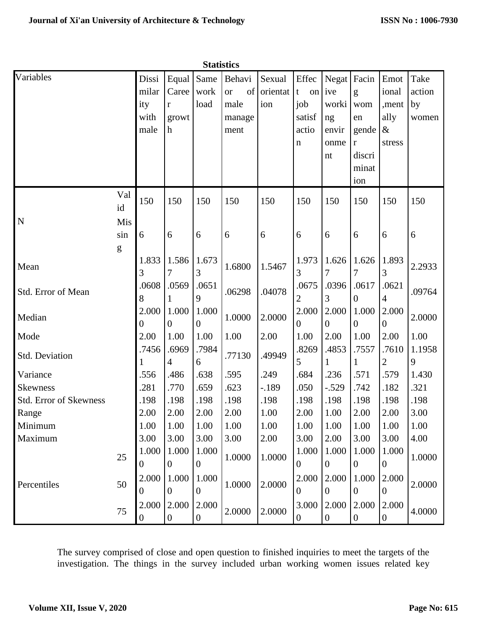|                               | <b>Statistics</b> |                |                  |                  |                               |                    |                            |                  |                  |                  |                |
|-------------------------------|-------------------|----------------|------------------|------------------|-------------------------------|--------------------|----------------------------|------------------|------------------|------------------|----------------|
| Variables                     |                   | Dissi<br>milar | Equal<br>Caree   | Same<br>work     | Behavi<br>of<br><sub>or</sub> | Sexual<br>orientat | Effec<br>$\mathbf t$<br>on | Negat<br>ive     | Facin<br>g       | Emot<br>ional    | Take<br>action |
|                               |                   | ity            | $\mathbf{r}$     | load             | male                          | ion                | job                        | worki            | wom              | ,ment            | by             |
|                               |                   | with           | growt            |                  | manage                        |                    | satisf                     | ng               | en               | ally             | women          |
|                               |                   | male           | $\mathbf h$      |                  | ment                          |                    | actio                      | envir            | gende            | $\&$             |                |
|                               |                   |                |                  |                  |                               |                    | $\mathbf n$                | onme             | r                | stress           |                |
|                               |                   |                |                  |                  |                               |                    |                            | nt               | discri           |                  |                |
|                               |                   |                |                  |                  |                               |                    |                            |                  | minat            |                  |                |
|                               |                   |                |                  |                  |                               |                    |                            |                  | ion              |                  |                |
|                               | Val<br>id         | 150            | 150              | 150              | 150                           | 150                | 150                        | 150              | 150              | 150              | 150            |
| $\mathbf N$                   | Mis               |                |                  |                  |                               |                    |                            |                  |                  |                  |                |
|                               | sin               | 6              | 6                | 6                | 6                             | 6                  | 6                          | 6                | 6                | 6                | 6              |
|                               | ${\bf g}$         |                |                  |                  |                               |                    |                            |                  |                  |                  |                |
| Mean                          |                   | 1.833          | 1.586            | 1.673            | 1.6800                        | 1.5467             | 1.973                      | 1.626            | 1.626            | 1.893            | 2.2933         |
|                               |                   | 3              | 7                | 3                |                               |                    | 3                          |                  | 7                | 3                |                |
| Std. Error of Mean            |                   | .0608          | .0569            | .0651            | .06298                        | .04078             | .0675                      | .0396            | .0617            | .0621            | .09764         |
|                               | 8                 | 9              |                  |                  | $\overline{2}$                | 3                  | $\boldsymbol{0}$           | 4                |                  |                  |                |
| Median                        |                   | 2.000          | 1.000            | 1.000            | 1.0000                        | 2.0000             | 2.000                      | 2.000            | 1.000            | 2.000            | 2.0000         |
|                               |                   | $\overline{0}$ | $\overline{0}$   | $\overline{0}$   |                               |                    | $\theta$                   | $\overline{0}$   | $\overline{0}$   | $\overline{0}$   |                |
| Mode                          |                   | 2.00           | 1.00             | 1.00             | 1.00                          | 2.00               | 1.00                       | 2.00             | 1.00             | 2.00             | 1.00           |
| Std. Deviation                |                   | .7456          | .6969            | .7984            | .77130                        | .49949             | .8269                      | .4853            | .7557            | .7610            | 1.1958         |
|                               |                   |                | 4                | 6                |                               |                    | 5                          |                  | 1                | 2                | 9              |
| Variance                      |                   | .556           | .486             | .638             | .595                          | .249               | .684                       | .236             | .571             | .579             | 1.430          |
| <b>Skewness</b>               |                   | .281           | .770             | .659             | .623                          | $-.189$            | .050                       | $-.529$          | .742             | .182             | .321           |
| <b>Std. Error of Skewness</b> |                   | .198           | .198             | .198             | .198                          | .198               | .198                       | .198             | .198             | .198             | .198           |
| Range                         |                   | 2.00           | 2.00             | 2.00             | 2.00                          | 1.00               | 2.00                       | 1.00             | 2.00             | 2.00             | 3.00           |
| Minimum                       |                   | 1.00           | 1.00             | 1.00             | 1.00                          | 1.00               | 1.00                       | 1.00             | 1.00             | 1.00             | 1.00           |
| Maximum                       |                   | 3.00           | 3.00             | 3.00             | 3.00                          | 2.00               | 3.00                       | 2.00             | 3.00             | 3.00             | 4.00           |
|                               | 25                | 1.000          | 1.000            | 1.000            | 1.0000                        | 1.0000             | 1.000                      | 1.000            | 1.000            | 1.000            | 1.0000         |
|                               |                   | $\overline{0}$ | $\overline{0}$   | $\boldsymbol{0}$ |                               |                    | $\boldsymbol{0}$           | $\overline{0}$   | $\overline{0}$   | $\boldsymbol{0}$ |                |
| Percentiles                   | 50                | 2.000          | 1.000            | 1.000            | 1.0000                        | 2.0000             | 2.000                      | 2.000            | 1.000            | 2.000            | 2.0000         |
|                               |                   | $\overline{0}$ | $\overline{0}$   | $\boldsymbol{0}$ |                               |                    | $\overline{0}$             | $\overline{0}$   | $\boldsymbol{0}$ | $\overline{0}$   |                |
|                               | 75                | 2.000          | 2.000            | 2.000            | 2.0000                        | 2.0000             | 3.000                      | 2.000            | 2.000            | 2.000            | 4.0000         |
|                               |                   | $\overline{0}$ | $\boldsymbol{0}$ | $\overline{0}$   |                               |                    | $\boldsymbol{0}$           | $\boldsymbol{0}$ | $\boldsymbol{0}$ | $\boldsymbol{0}$ |                |

The survey comprised of close and open question to finished inquiries to meet the targets of the investigation. The things in the survey included urban working women issues related key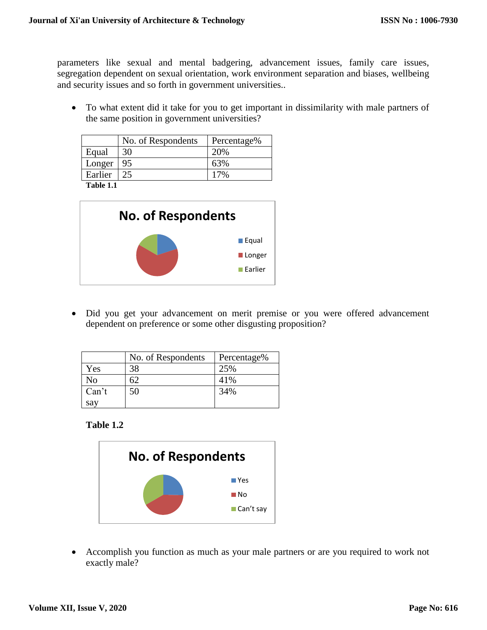parameters like sexual and mental badgering, advancement issues, family care issues, segregation dependent on sexual orientation, work environment separation and biases, wellbeing and security issues and so forth in government universities..

 To what extent did it take for you to get important in dissimilarity with male partners of the same position in government universities?

|         | No. of Respondents | Percentage% |
|---------|--------------------|-------------|
| Equal   | 30                 | 20%         |
| Longer  | 95                 |             |
| Earlier |                    |             |
| -----   |                    |             |

**Table 1.1**



 Did you get your advancement on merit premise or you were offered advancement dependent on preference or some other disgusting proposition?

|       | No. of Respondents | Percentage% |
|-------|--------------------|-------------|
| Yes   | 38                 | 25%         |
| No    |                    | 41%         |
| Can't | 50                 | 34%         |
| say   |                    |             |

#### **Table 1.2**



 Accomplish you function as much as your male partners or are you required to work not exactly male?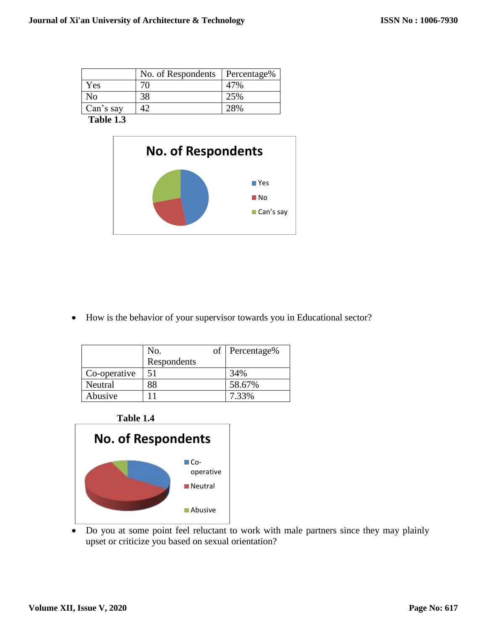|                                    | No. of Respondents | Percentage% |
|------------------------------------|--------------------|-------------|
| Yes                                |                    |             |
| No                                 |                    | 25%         |
| Can's say                          |                    |             |
| -- - -<br>$\overline{\phantom{a}}$ |                    |             |



How is the behavior of your supervisor towards you in Educational sector?

|              | No.         | of Percentage% |
|--------------|-------------|----------------|
|              | Respondents |                |
| Co-operative |             | 34%            |
| Neutral      |             | 58.67%         |
| Abusive      |             | 7.33%          |





 Do you at some point feel reluctant to work with male partners since they may plainly upset or criticize you based on sexual orientation?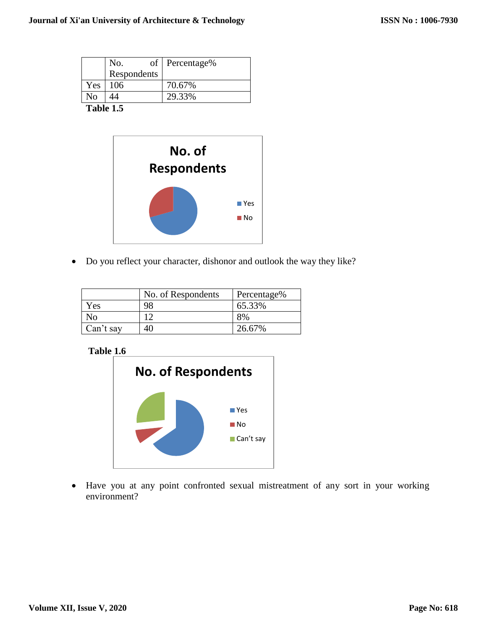|     | No.         | of Percentage% |  |  |  |
|-----|-------------|----------------|--|--|--|
|     | Respondents |                |  |  |  |
| Yes | 106         | 70.67%         |  |  |  |
| Nο  |             | 29.33%         |  |  |  |
| --  |             |                |  |  |  |



Do you reflect your character, dishonor and outlook the way they like?

|           | No. of Respondents | Percentage% |
|-----------|--------------------|-------------|
| Yes       | 98                 | 65.33%      |
| Nο        |                    | 8%          |
| Can't say |                    | 26.67%      |

**Table 1.6**



 Have you at any point confronted sexual mistreatment of any sort in your working environment?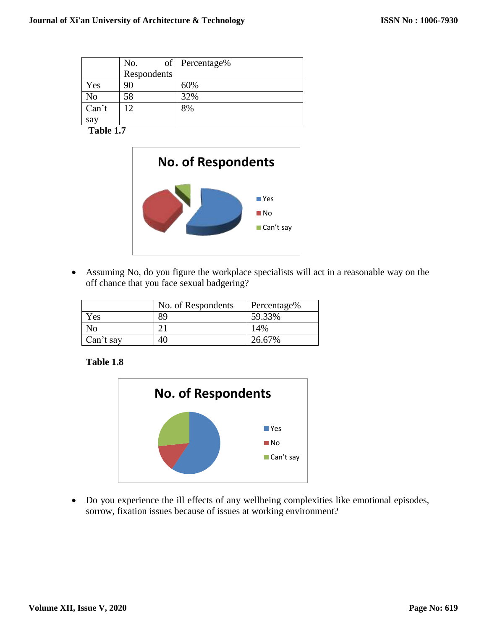|       | No.         | of Percentage% |
|-------|-------------|----------------|
|       | Respondents |                |
| Yes   | 90          | 60%            |
| No    | 58          | 32%            |
| Can't | 12          | 8%             |
| say   |             |                |



 Assuming No, do you figure the workplace specialists will act in a reasonable way on the off chance that you face sexual badgering?

|           | No. of Respondents | Percentage% |
|-----------|--------------------|-------------|
| Yes       | 89                 | 59.33%      |
| Nο        |                    | 14%         |
| Can't say | 40                 | 26.67%      |

**Table 1.8**



 Do you experience the ill effects of any wellbeing complexities like emotional episodes, sorrow, fixation issues because of issues at working environment?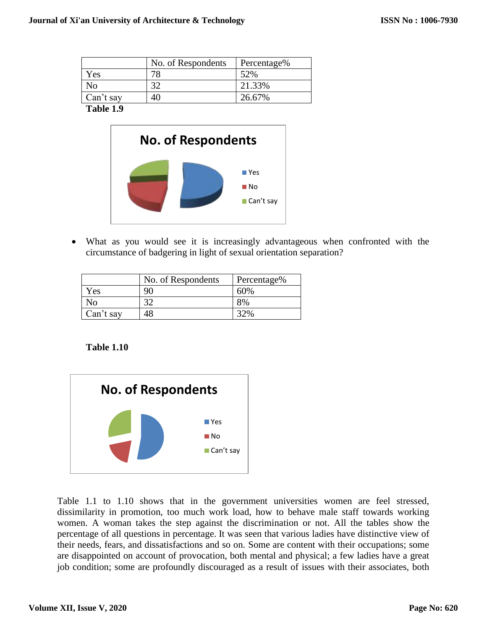|           | No. of Respondents | Percentage% |
|-----------|--------------------|-------------|
| Yes       | 78                 | 52%         |
| No        | 20                 | 21.33%      |
| Can't say | 4Λ                 | 26.67%      |



 What as you would see it is increasingly advantageous when confronted with the circumstance of badgering in light of sexual orientation separation?

|           | No. of Respondents | Percentage% |
|-----------|--------------------|-------------|
| Yes       | QN                 | 60%         |
| No        |                    | 8%          |
| Can't say |                    |             |

# **Table 1.10**



Table 1.1 to 1.10 shows that in the government universities women are feel stressed, dissimilarity in promotion, too much work load, how to behave male staff towards working women. A woman takes the step against the discrimination or not. All the tables show the percentage of all questions in percentage. It was seen that various ladies have distinctive view of their needs, fears, and dissatisfactions and so on. Some are content with their occupations; some are disappointed on account of provocation, both mental and physical; a few ladies have a great job condition; some are profoundly discouraged as a result of issues with their associates, both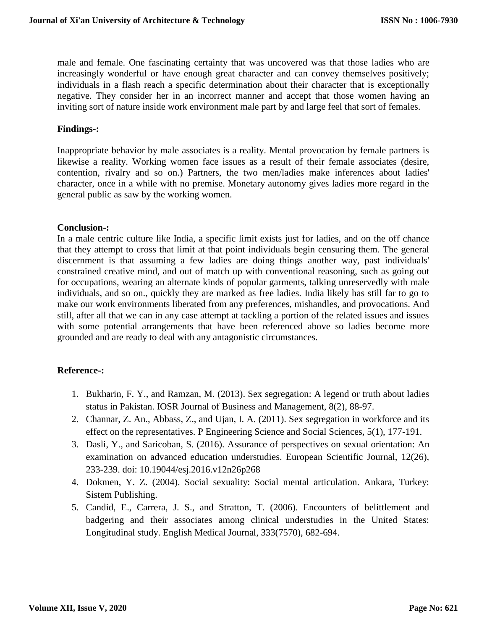male and female. One fascinating certainty that was uncovered was that those ladies who are increasingly wonderful or have enough great character and can convey themselves positively; individuals in a flash reach a specific determination about their character that is exceptionally negative. They consider her in an incorrect manner and accept that those women having an inviting sort of nature inside work environment male part by and large feel that sort of females.

#### **Findings-:**

Inappropriate behavior by male associates is a reality. Mental provocation by female partners is likewise a reality. Working women face issues as a result of their female associates (desire, contention, rivalry and so on.) Partners, the two men/ladies make inferences about ladies' character, once in a while with no premise. Monetary autonomy gives ladies more regard in the general public as saw by the working women.

#### **Conclusion-:**

In a male centric culture like India, a specific limit exists just for ladies, and on the off chance that they attempt to cross that limit at that point individuals begin censuring them. The general discernment is that assuming a few ladies are doing things another way, past individuals' constrained creative mind, and out of match up with conventional reasoning, such as going out for occupations, wearing an alternate kinds of popular garments, talking unreservedly with male individuals, and so on., quickly they are marked as free ladies. India likely has still far to go to make our work environments liberated from any preferences, mishandles, and provocations. And still, after all that we can in any case attempt at tackling a portion of the related issues and issues with some potential arrangements that have been referenced above so ladies become more grounded and are ready to deal with any antagonistic circumstances.

#### **Reference-:**

- 1. Bukharin, F. Y., and Ramzan, M. (2013). Sex segregation: A legend or truth about ladies status in Pakistan. IOSR Journal of Business and Management, 8(2), 88-97.
- 2. Channar, Z. An., Abbass, Z., and Ujan, I. A. (2011). Sex segregation in workforce and its effect on the representatives. P Engineering Science and Social Sciences, 5(1), 177-191.
- 3. Dasli, Y., and Saricoban, S. (2016). Assurance of perspectives on sexual orientation: An examination on advanced education understudies. European Scientific Journal, 12(26), 233-239. doi: 10.19044/esj.2016.v12n26p268
- 4. Dokmen, Y. Z. (2004). Social sexuality: Social mental articulation. Ankara, Turkey: Sistem Publishing.
- 5. Candid, E., Carrera, J. S., and Stratton, T. (2006). Encounters of belittlement and badgering and their associates among clinical understudies in the United States: Longitudinal study. English Medical Journal, 333(7570), 682-694.